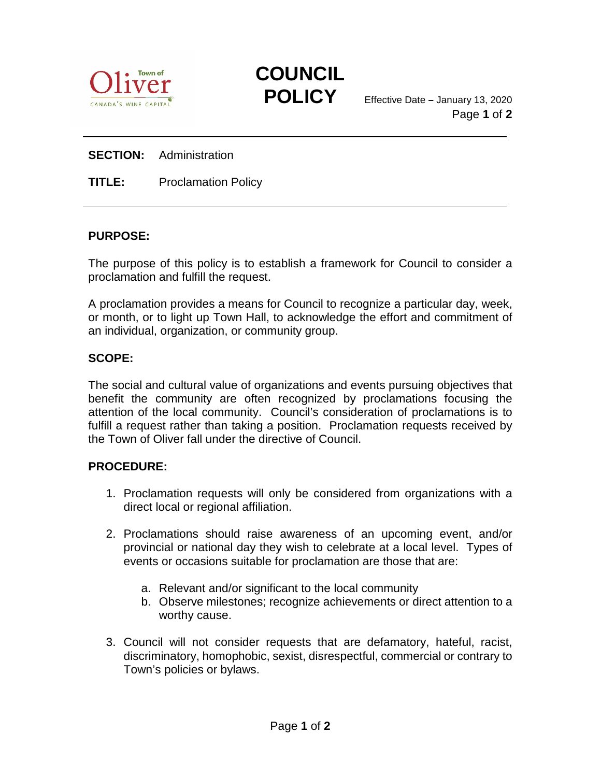



**POLICY** Effective Date **–** January 13, 2020 Page **1** of **2**

## **SECTION:** Administration

**TITLE:** Proclamation Policy

## **PURPOSE:**

The purpose of this policy is to establish a framework for Council to consider a proclamation and fulfill the request.

A proclamation provides a means for Council to recognize a particular day, week, or month, or to light up Town Hall, to acknowledge the effort and commitment of an individual, organization, or community group.

## **SCOPE:**

The social and cultural value of organizations and events pursuing objectives that benefit the community are often recognized by proclamations focusing the attention of the local community. Council's consideration of proclamations is to fulfill a request rather than taking a position. Proclamation requests received by the Town of Oliver fall under the directive of Council.

## **PROCEDURE:**

- 1. Proclamation requests will only be considered from organizations with a direct local or regional affiliation.
- 2. Proclamations should raise awareness of an upcoming event, and/or provincial or national day they wish to celebrate at a local level. Types of events or occasions suitable for proclamation are those that are:
	- a. Relevant and/or significant to the local community
	- b. Observe milestones; recognize achievements or direct attention to a worthy cause.
- 3. Council will not consider requests that are defamatory, hateful, racist, discriminatory, homophobic, sexist, disrespectful, commercial or contrary to Town's policies or bylaws.